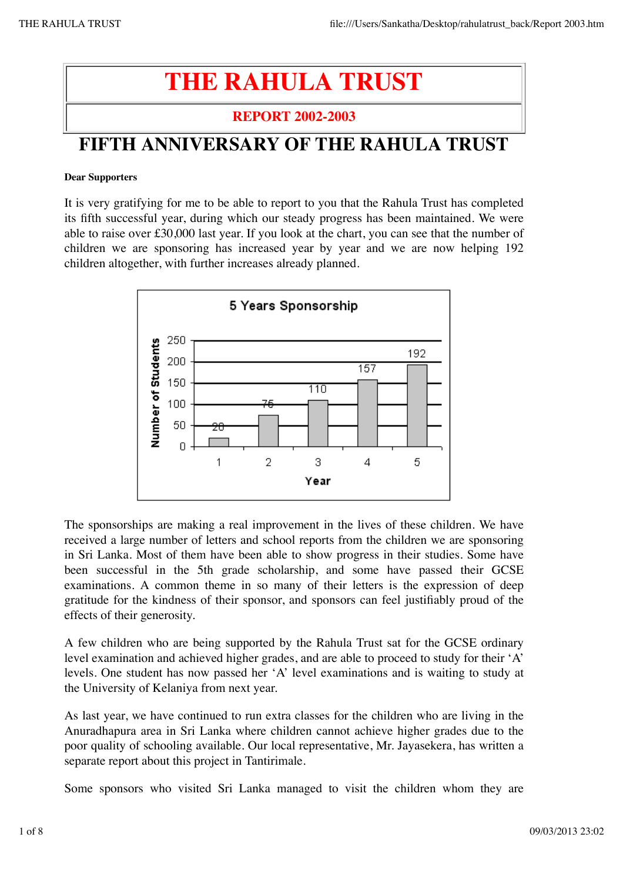## **THE RAHULA TRUST**

#### **REPORT 2002-2003**

## **FIFTH ANNIVERSARY OF THE RAHULA TRUST**

#### **Dear Supporters**

It is very gratifying for me to be able to report to you that the Rahula Trust has completed its fifth successful year, during which our steady progress has been maintained. We were able to raise over £30,000 last year. If you look at the chart, you can see that the number of children we are sponsoring has increased year by year and we are now helping 192 children altogether, with further increases already planned.



The sponsorships are making a real improvement in the lives of these children. We have received a large number of letters and school reports from the children we are sponsoring in Sri Lanka. Most of them have been able to show progress in their studies. Some have been successful in the 5th grade scholarship, and some have passed their GCSE examinations. A common theme in so many of their letters is the expression of deep gratitude for the kindness of their sponsor, and sponsors can feel justifiably proud of the effects of their generosity.

A few children who are being supported by the Rahula Trust sat for the GCSE ordinary level examination and achieved higher grades, and are able to proceed to study for their 'A' levels. One student has now passed her 'A' level examinations and is waiting to study at the University of Kelaniya from next year.

As last year, we have continued to run extra classes for the children who are living in the Anuradhapura area in Sri Lanka where children cannot achieve higher grades due to the poor quality of schooling available. Our local representative, Mr. Jayasekera, has written a separate report about this project in Tantirimale.

Some sponsors who visited Sri Lanka managed to visit the children whom they are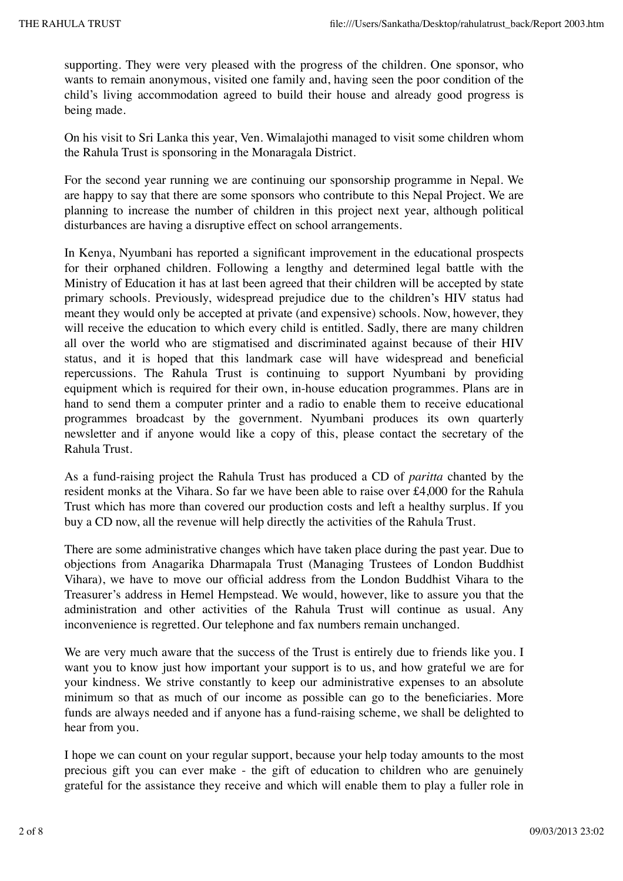supporting. They were very pleased with the progress of the children. One sponsor, who wants to remain anonymous, visited one family and, having seen the poor condition of the child's living accommodation agreed to build their house and already good progress is being made.

On his visit to Sri Lanka this year, Ven. Wimalajothi managed to visit some children whom the Rahula Trust is sponsoring in the Monaragala District.

For the second year running we are continuing our sponsorship programme in Nepal. We are happy to say that there are some sponsors who contribute to this Nepal Project. We are planning to increase the number of children in this project next year, although political disturbances are having a disruptive effect on school arrangements.

In Kenya, Nyumbani has reported a significant improvement in the educational prospects for their orphaned children. Following a lengthy and determined legal battle with the Ministry of Education it has at last been agreed that their children will be accepted by state primary schools. Previously, widespread prejudice due to the children's HIV status had meant they would only be accepted at private (and expensive) schools. Now, however, they will receive the education to which every child is entitled. Sadly, there are many children all over the world who are stigmatised and discriminated against because of their HIV status, and it is hoped that this landmark case will have widespread and beneficial repercussions. The Rahula Trust is continuing to support Nyumbani by providing equipment which is required for their own, in-house education programmes. Plans are in hand to send them a computer printer and a radio to enable them to receive educational programmes broadcast by the government. Nyumbani produces its own quarterly newsletter and if anyone would like a copy of this, please contact the secretary of the Rahula Trust.

As a fund-raising project the Rahula Trust has produced a CD of *paritta* chanted by the resident monks at the Vihara. So far we have been able to raise over £4,000 for the Rahula Trust which has more than covered our production costs and left a healthy surplus. If you buy a CD now, all the revenue will help directly the activities of the Rahula Trust.

There are some administrative changes which have taken place during the past year. Due to objections from Anagarika Dharmapala Trust (Managing Trustees of London Buddhist Vihara), we have to move our official address from the London Buddhist Vihara to the Treasurer's address in Hemel Hempstead. We would, however, like to assure you that the administration and other activities of the Rahula Trust will continue as usual. Any inconvenience is regretted. Our telephone and fax numbers remain unchanged.

We are very much aware that the success of the Trust is entirely due to friends like you. I want you to know just how important your support is to us, and how grateful we are for your kindness. We strive constantly to keep our administrative expenses to an absolute minimum so that as much of our income as possible can go to the beneficiaries. More funds are always needed and if anyone has a fund-raising scheme, we shall be delighted to hear from you.

I hope we can count on your regular support, because your help today amounts to the most precious gift you can ever make - the gift of education to children who are genuinely grateful for the assistance they receive and which will enable them to play a fuller role in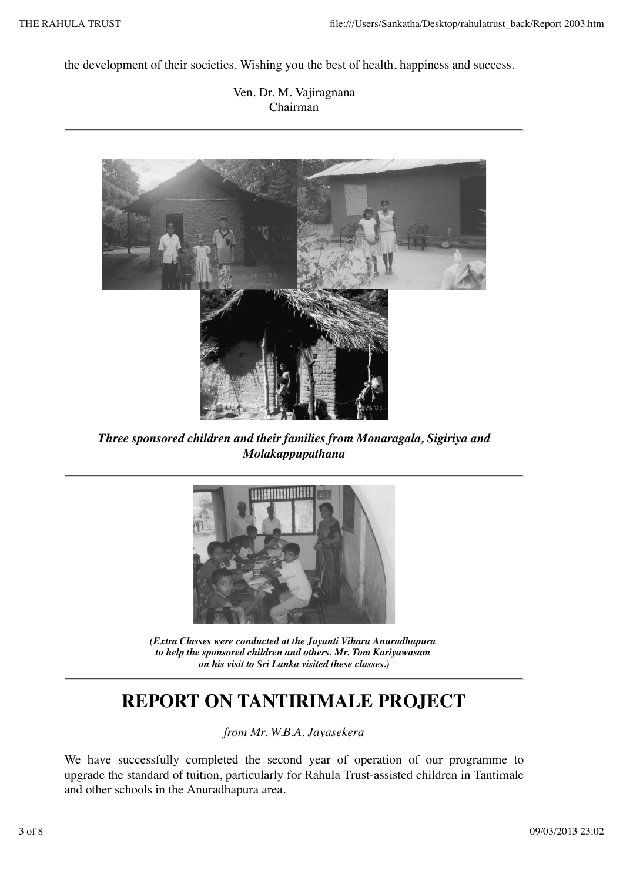the development of their societies. Wishing you the best of health, happiness and success.

Ven. Dr. M. Vajiragnana Chairman



*Three sponsored children and their families from Monaragala, Sigiriya and Molakappupathana*



*(Extra Classes were conducted at the Jayanti Vihara Anuradhapura to help the sponsored children and others. Mr. Tom Kariyawasam on his visit to Sri Lanka visited these classes.)*

### **REPORT ON TANTIRIMALE PROJECT**

*from Mr. W.B.A. Jayasekera*

We have successfully completed the second year of operation of our programme to upgrade the standard of tuition, particularly for Rahula Trust-assisted children in Tantimale and other schools in the Anuradhapura area.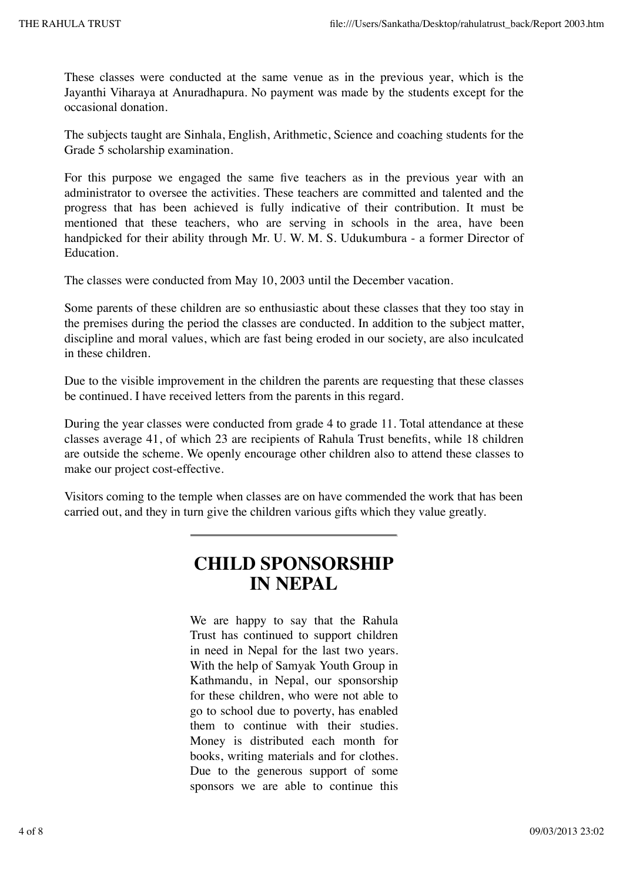These classes were conducted at the same venue as in the previous year, which is the Jayanthi Viharaya at Anuradhapura. No payment was made by the students except for the occasional donation.

The subjects taught are Sinhala, English, Arithmetic, Science and coaching students for the Grade 5 scholarship examination.

For this purpose we engaged the same five teachers as in the previous year with an administrator to oversee the activities. These teachers are committed and talented and the progress that has been achieved is fully indicative of their contribution. It must be mentioned that these teachers, who are serving in schools in the area, have been handpicked for their ability through Mr. U. W. M. S. Udukumbura - a former Director of Education.

The classes were conducted from May 10, 2003 until the December vacation.

Some parents of these children are so enthusiastic about these classes that they too stay in the premises during the period the classes are conducted. In addition to the subject matter, discipline and moral values, which are fast being eroded in our society, are also inculcated in these children.

Due to the visible improvement in the children the parents are requesting that these classes be continued. I have received letters from the parents in this regard.

During the year classes were conducted from grade 4 to grade 11. Total attendance at these classes average 41, of which 23 are recipients of Rahula Trust benefits, while 18 children are outside the scheme. We openly encourage other children also to attend these classes to make our project cost-effective.

Visitors coming to the temple when classes are on have commended the work that has been carried out, and they in turn give the children various gifts which they value greatly.

#### **CHILD SPONSORSHIP IN NEPAL**

We are happy to say that the Rahula Trust has continued to support children in need in Nepal for the last two years. With the help of Samyak Youth Group in Kathmandu, in Nepal, our sponsorship for these children, who were not able to go to school due to poverty, has enabled them to continue with their studies. Money is distributed each month for books, writing materials and for clothes. Due to the generous support of some sponsors we are able to continue this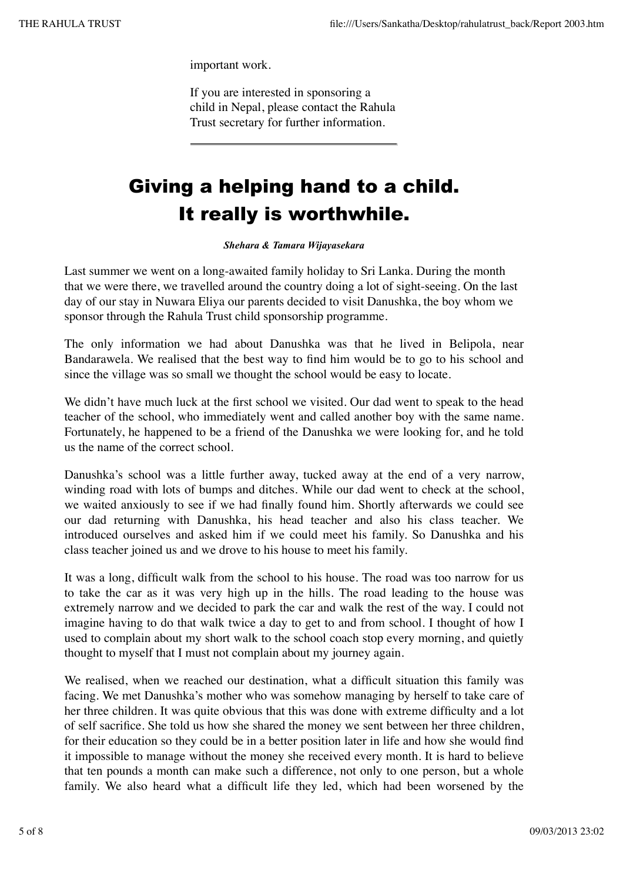important work.

If you are interested in sponsoring a child in Nepal, please contact the Rahula Trust secretary for further information.

## Giving a helping hand to a child. It really is worthwhile.

#### *Shehara & Tamara Wijayasekara*

Last summer we went on a long-awaited family holiday to Sri Lanka. During the month that we were there, we travelled around the country doing a lot of sight-seeing. On the last day of our stay in Nuwara Eliya our parents decided to visit Danushka, the boy whom we sponsor through the Rahula Trust child sponsorship programme.

The only information we had about Danushka was that he lived in Belipola, near Bandarawela. We realised that the best way to find him would be to go to his school and since the village was so small we thought the school would be easy to locate.

We didn't have much luck at the first school we visited. Our dad went to speak to the head teacher of the school, who immediately went and called another boy with the same name. Fortunately, he happened to be a friend of the Danushka we were looking for, and he told us the name of the correct school.

Danushka's school was a little further away, tucked away at the end of a very narrow, winding road with lots of bumps and ditches. While our dad went to check at the school, we waited anxiously to see if we had finally found him. Shortly afterwards we could see our dad returning with Danushka, his head teacher and also his class teacher. We introduced ourselves and asked him if we could meet his family. So Danushka and his class teacher joined us and we drove to his house to meet his family.

It was a long, difficult walk from the school to his house. The road was too narrow for us to take the car as it was very high up in the hills. The road leading to the house was extremely narrow and we decided to park the car and walk the rest of the way. I could not imagine having to do that walk twice a day to get to and from school. I thought of how I used to complain about my short walk to the school coach stop every morning, and quietly thought to myself that I must not complain about my journey again.

We realised, when we reached our destination, what a difficult situation this family was facing. We met Danushka's mother who was somehow managing by herself to take care of her three children. It was quite obvious that this was done with extreme difficulty and a lot of self sacrifice. She told us how she shared the money we sent between her three children, for their education so they could be in a better position later in life and how she would find it impossible to manage without the money she received every month. It is hard to believe that ten pounds a month can make such a difference, not only to one person, but a whole family. We also heard what a difficult life they led, which had been worsened by the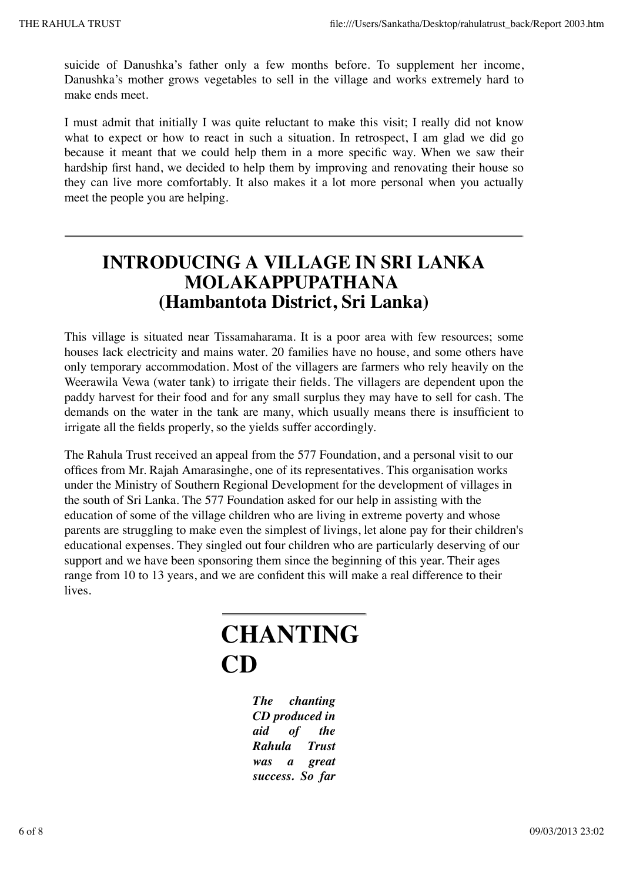suicide of Danushka's father only a few months before. To supplement her income, Danushka's mother grows vegetables to sell in the village and works extremely hard to make ends meet.

I must admit that initially I was quite reluctant to make this visit; I really did not know what to expect or how to react in such a situation. In retrospect, I am glad we did go because it meant that we could help them in a more specific way. When we saw their hardship first hand, we decided to help them by improving and renovating their house so they can live more comfortably. It also makes it a lot more personal when you actually meet the people you are helping.

### **INTRODUCING A VILLAGE IN SRI LANKA MOLAKAPPUPATHANA (Hambantota District, Sri Lanka)**

This village is situated near Tissamaharama. It is a poor area with few resources; some houses lack electricity and mains water. 20 families have no house, and some others have only temporary accommodation. Most of the villagers are farmers who rely heavily on the Weerawila Vewa (water tank) to irrigate their fields. The villagers are dependent upon the paddy harvest for their food and for any small surplus they may have to sell for cash. The demands on the water in the tank are many, which usually means there is insufficient to irrigate all the fields properly, so the yields suffer accordingly.

The Rahula Trust received an appeal from the 577 Foundation, and a personal visit to our offices from Mr. Rajah Amarasinghe, one of its representatives. This organisation works under the Ministry of Southern Regional Development for the development of villages in the south of Sri Lanka. The 577 Foundation asked for our help in assisting with the education of some of the village children who are living in extreme poverty and whose parents are struggling to make even the simplest of livings, let alone pay for their children's educational expenses. They singled out four children who are particularly deserving of our support and we have been sponsoring them since the beginning of this year. Their ages range from 10 to 13 years, and we are confident this will make a real difference to their lives.

# **CHANTING CD**

*The chanting CD produced in aid of the Rahula Trust was a great success. So far*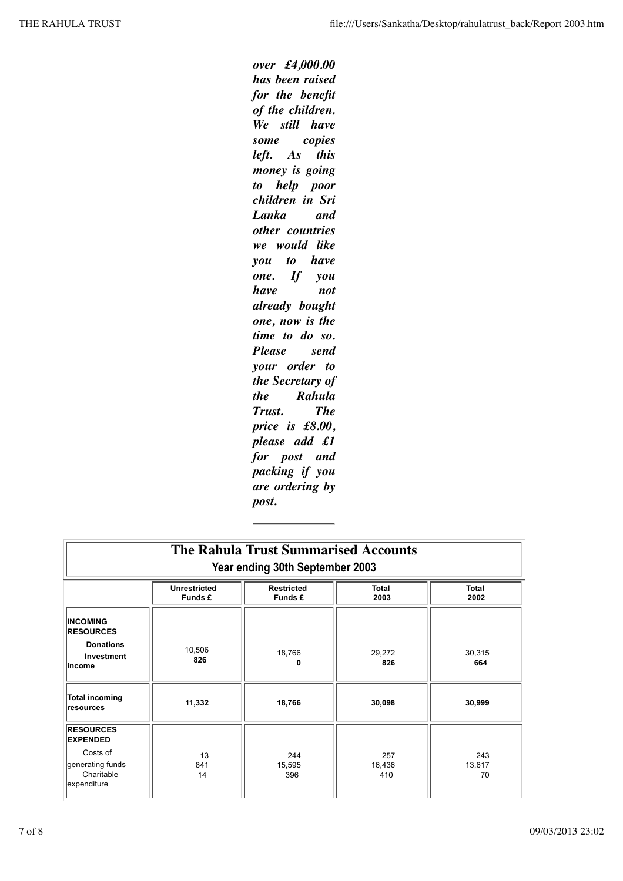*over £4,000.00 has been raised for the benefit of the children. We still have some copies left. As this money is going to help poor children in Sri Lanka and other countries we would like you to have one. If you have not already bought one, now is the time to do so. Please send your order to the Secretary of the Rahula*  $T$ *rust. price is £8.00, please add £1 for post and packing if you are ordering by post.*

| <b>The Rahula Trust Summarised Accounts</b><br>Year ending 30th September 2003                   |                                |                              |                      |                      |  |  |
|--------------------------------------------------------------------------------------------------|--------------------------------|------------------------------|----------------------|----------------------|--|--|
|                                                                                                  | <b>Unrestricted</b><br>Funds £ | <b>Restricted</b><br>Funds £ | Total<br>2003        | <b>Total</b><br>2002 |  |  |
| <b>INCOMING</b><br><b>RESOURCES</b><br><b>Donations</b><br>Investment<br>lincome                 | 10,506<br>826                  | 18,766<br>0                  | 29,272<br>826        | 30,315<br>664        |  |  |
| Total incoming<br><b>Iresources</b>                                                              | 11,332                         | 18,766                       | 30,098               | 30,999               |  |  |
| <b>RESOURCES</b><br><b>EXPENDED</b><br>Costs of<br>generating funds<br>Charitable<br>expenditure | 13<br>841<br>14                | 244<br>15,595<br>396         | 257<br>16,436<br>410 | 243<br>13,617<br>70  |  |  |